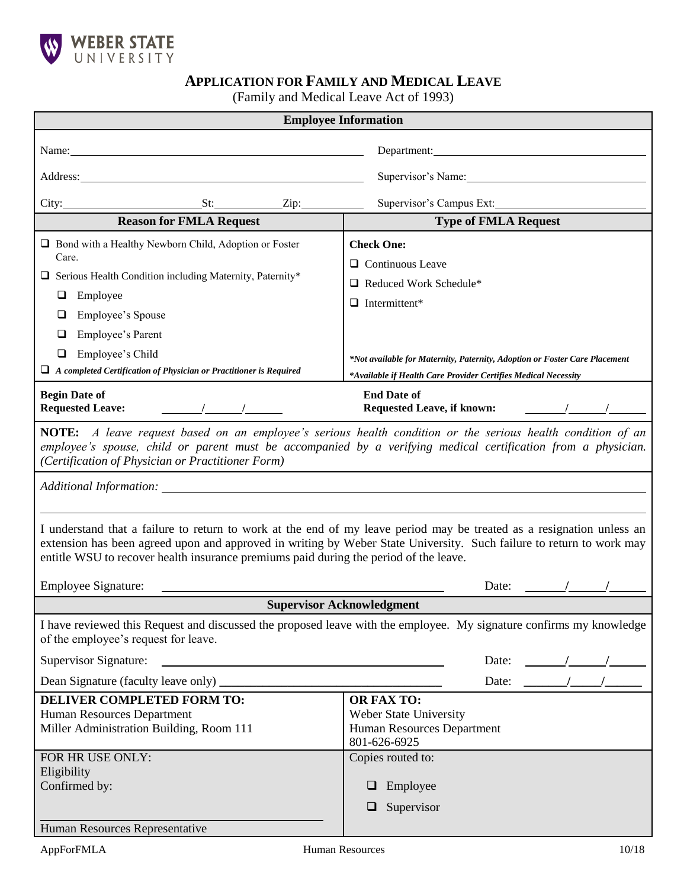

# **APPLICATION FOR FAMILY AND MEDICAL LEAVE**

(Family and Medical Leave Act of 1993)

| <b>Employee Information</b>                                                                                                                                                                                                                                                                                                            |                                                                                                                |
|----------------------------------------------------------------------------------------------------------------------------------------------------------------------------------------------------------------------------------------------------------------------------------------------------------------------------------------|----------------------------------------------------------------------------------------------------------------|
| Name: Name and the state of the state of the state of the state of the state of the state of the state of the state of the state of the state of the state of the state of the state of the state of the state of the state of<br>Department:                                                                                          |                                                                                                                |
|                                                                                                                                                                                                                                                                                                                                        |                                                                                                                |
| Address: <u>Address</u> and the contract of the contract of the contract of the contract of the contract of the contract of the contract of the contract of the contract of the contract of the contract of the contract of the con                                                                                                    | Supervisor's Name: 1988 and 1988 and 1988 and 1988 and 1988 and 1988 and 1988 and 1988 and 1988 and 1988 and 1 |
| $City:$ $St:$ $Zip:$                                                                                                                                                                                                                                                                                                                   | Supervisor's Campus Ext:                                                                                       |
| <b>Reason for FMLA Request</b>                                                                                                                                                                                                                                                                                                         | <b>Type of FMLA Request</b>                                                                                    |
| Bond with a Healthy Newborn Child, Adoption or Foster                                                                                                                                                                                                                                                                                  | <b>Check One:</b>                                                                                              |
| Care.                                                                                                                                                                                                                                                                                                                                  | $\Box$ Continuous Leave                                                                                        |
| Serious Health Condition including Maternity, Paternity*                                                                                                                                                                                                                                                                               | Reduced Work Schedule*                                                                                         |
| Employee<br>⊔                                                                                                                                                                                                                                                                                                                          | $\Box$ Intermittent*                                                                                           |
| Employee's Spouse<br>⊔                                                                                                                                                                                                                                                                                                                 |                                                                                                                |
| Employee's Parent<br>⊔                                                                                                                                                                                                                                                                                                                 |                                                                                                                |
| Employee's Child<br>❏<br>$\Box$ A completed Certification of Physician or Practitioner is Required                                                                                                                                                                                                                                     | *Not available for Maternity, Paternity, Adoption or Foster Care Placement                                     |
|                                                                                                                                                                                                                                                                                                                                        | *Available if Health Care Provider Certifies Medical Necessity                                                 |
| <b>Begin Date of</b><br><b>Requested Leave:</b><br>$\sqrt{2}$                                                                                                                                                                                                                                                                          | <b>End Date of</b><br><b>Requested Leave, if known:</b><br>$\sqrt{2}$                                          |
| <b>NOTE:</b> A leave request based on an employee's serious health condition or the serious health condition of an<br>employee's spouse, child or parent must be accompanied by a verifying medical certification from a physician.<br>(Certification of Physician or Practitioner Form)                                               |                                                                                                                |
|                                                                                                                                                                                                                                                                                                                                        |                                                                                                                |
| I understand that a failure to return to work at the end of my leave period may be treated as a resignation unless an<br>extension has been agreed upon and approved in writing by Weber State University. Such failure to return to work may<br>entitle WSU to recover health insurance premiums paid during the period of the leave. |                                                                                                                |
| <b>Employee Signature:</b>                                                                                                                                                                                                                                                                                                             | Date:                                                                                                          |
| <b>Supervisor Acknowledgment</b>                                                                                                                                                                                                                                                                                                       |                                                                                                                |
| I have reviewed this Request and discussed the proposed leave with the employee. My signature confirms my knowledge<br>of the employee's request for leave.                                                                                                                                                                            |                                                                                                                |
| Supervisor Signature:                                                                                                                                                                                                                                                                                                                  | Date:                                                                                                          |
| Dean Signature (faculty leave only) ________                                                                                                                                                                                                                                                                                           | $\frac{1}{\sqrt{1-\frac{1}{2}}}$<br>Date:                                                                      |
| <b>DELIVER COMPLETED FORM TO:</b>                                                                                                                                                                                                                                                                                                      | <b>OR FAX TO:</b>                                                                                              |
| Human Resources Department<br>Miller Administration Building, Room 111                                                                                                                                                                                                                                                                 | Weber State University<br><b>Human Resources Department</b>                                                    |
|                                                                                                                                                                                                                                                                                                                                        | 801-626-6925                                                                                                   |
| FOR HR USE ONLY:                                                                                                                                                                                                                                                                                                                       | Copies routed to:                                                                                              |
| Eligibility<br>Confirmed by:                                                                                                                                                                                                                                                                                                           | $\Box$ Employee                                                                                                |
|                                                                                                                                                                                                                                                                                                                                        | Supervisor<br>⊔                                                                                                |
| Human Resources Representative                                                                                                                                                                                                                                                                                                         |                                                                                                                |